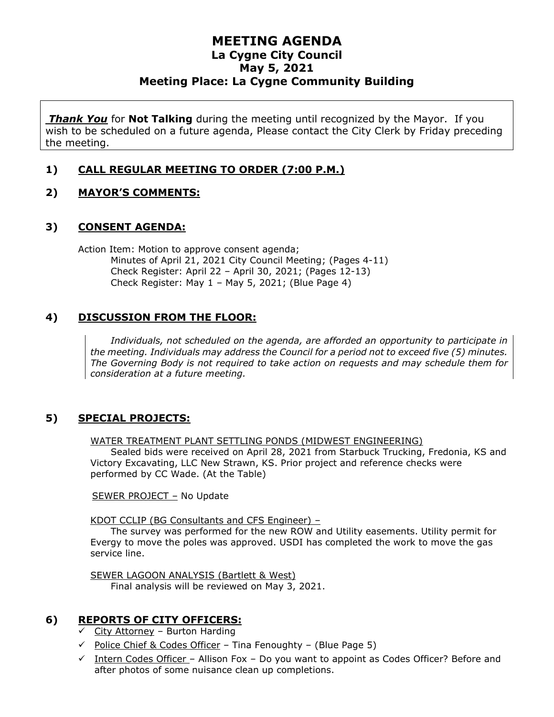# **MEETING AGENDA La Cygne City Council May 5, 2021 Meeting Place: La Cygne Community Building**

*Thank You* for **Not Talking** during the meeting until recognized by the Mayor. If you wish to be scheduled on a future agenda, Please contact the City Clerk by Friday preceding the meeting.

#### **1) CALL REGULAR MEETING TO ORDER (7:00 P.M.)**

#### **2) MAYOR'S COMMENTS:**

#### **3) CONSENT AGENDA:**

Action Item: Motion to approve consent agenda; Minutes of April 21, 2021 City Council Meeting; (Pages 4-11) Check Register: April 22 – April 30, 2021; (Pages 12-13) Check Register: May 1 – May 5, 2021; (Blue Page 4)

#### **4) DISCUSSION FROM THE FLOOR:**

*Individuals, not scheduled on the agenda, are afforded an opportunity to participate in the meeting. Individuals may address the Council for a period not to exceed five (5) minutes. The Governing Body is not required to take action on requests and may schedule them for consideration at a future meeting.*

#### **5) SPECIAL PROJECTS:**

WATER TREATMENT PLANT SETTLING PONDS (MIDWEST ENGINEERING)

Sealed bids were received on April 28, 2021 from Starbuck Trucking, Fredonia, KS and Victory Excavating, LLC New Strawn, KS. Prior project and reference checks were performed by CC Wade. (At the Table)

SEWER PROJECT – No Update

KDOT CCLIP (BG Consultants and CFS Engineer) –

The survey was performed for the new ROW and Utility easements. Utility permit for Evergy to move the poles was approved. USDI has completed the work to move the gas service line.

SEWER LAGOON ANALYSIS (Bartlett & West) Final analysis will be reviewed on May 3, 2021.

#### **6) REPORTS OF CITY OFFICERS:**

- $\checkmark$  City Attorney Burton Harding
- ✓ Police Chief & Codes Officer Tina Fenoughty (Blue Page 5)
- $\checkmark$  Intern Codes Officer Allison Fox Do you want to appoint as Codes Officer? Before and after photos of some nuisance clean up completions.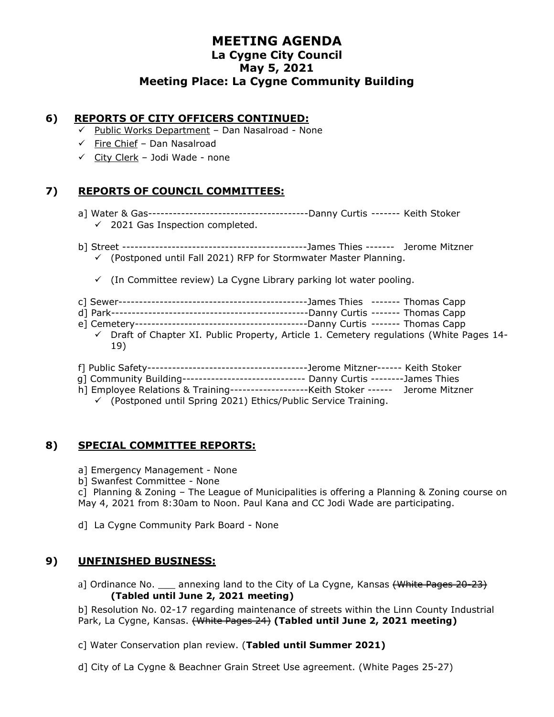# **MEETING AGENDA La Cygne City Council May 5, 2021 Meeting Place: La Cygne Community Building**

#### **6) REPORTS OF CITY OFFICERS CONTINUED:**

- ✓ Public Works Department Dan Nasalroad None
- ✓ Fire Chief Dan Nasalroad
- $\checkmark$  City Clerk Jodi Wade none

#### **7) REPORTS OF COUNCIL COMMITTEES:**

- a] Water & Gas---------------------------------------Danny Curtis ------- Keith Stoker
	- $\checkmark$  2021 Gas Inspection completed.
- b] Street ---------------------------------------------James Thies ------- Jerome Mitzner  $\checkmark$  (Postponed until Fall 2021) RFP for Stormwater Master Planning.
	- $\checkmark$  (In Committee review) La Cygne Library parking lot water pooling.
- c] Sewer----------------------------------------------James Thies ------- Thomas Capp
- d] Park------------------------------------------------Danny Curtis ------- Thomas Capp
- e] Cemetery------------------------------------------Danny Curtis ------- Thomas Capp  $\checkmark$  Draft of Chapter XI. Public Property, Article 1. Cemetery regulations (White Pages 14-
- f] Public Safety---------------------------------------Jerome Mitzner------ Keith Stoker
- g] Community Building------------------------------ Danny Curtis --------James Thies
- h] Employee Relations & Training-------------------Keith Stoker ------ Jerome Mitzner
	- $\checkmark$  (Postponed until Spring 2021) Ethics/Public Service Training.

#### **8) SPECIAL COMMITTEE REPORTS:**

19)

- a] Emergency Management None
- b] Swanfest Committee None

c] Planning & Zoning – The League of Municipalities is offering a Planning & Zoning course on May 4, 2021 from 8:30am to Noon. Paul Kana and CC Jodi Wade are participating.

d] La Cygne Community Park Board - None

#### **9) UNFINISHED BUSINESS:**

a] Ordinance No.  $\qquad$  annexing land to the City of La Cygne, Kansas  $\{\text{White-Pages } 20-23\}$ **(Tabled until June 2, 2021 meeting)**

b] Resolution No. 02-17 regarding maintenance of streets within the Linn County Industrial Park, La Cygne, Kansas. (White Pages 24) **(Tabled until June 2, 2021 meeting)**

- c] Water Conservation plan review. (**Tabled until Summer 2021)**
- d] City of La Cygne & Beachner Grain Street Use agreement. (White Pages 25-27)